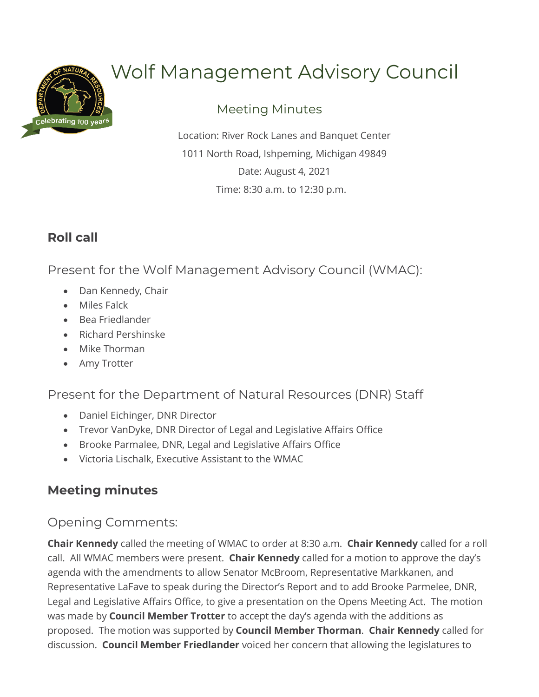

# Wolf Management Advisory Council

## Meeting Minutes

Location: River Rock Lanes and Banquet Center 1011 North Road, Ishpeming, Michigan 49849 Date: August 4, 2021 Time: 8:30 a.m. to 12:30 p.m.

# **Roll call**

Present for the Wolf Management Advisory Council (WMAC):

- Dan Kennedy, Chair
- Miles Falck
- Bea Friedlander
- Richard Pershinske
- Mike Thorman
- Amy Trotter

Present for the Department of Natural Resources (DNR) Staff

- Daniel Eichinger, DNR Director
- Trevor VanDyke, DNR Director of Legal and Legislative Affairs Office
- Brooke Parmalee, DNR, Legal and Legislative Affairs Office
- Victoria Lischalk, Executive Assistant to the WMAC

## **Meeting minutes**

Opening Comments:

**Chair Kennedy** called the meeting of WMAC to order at 8:30 a.m. **Chair Kennedy** called for a roll call. All WMAC members were present. **Chair Kennedy** called for a motion to approve the day's agenda with the amendments to allow Senator McBroom, Representative Markkanen, and Representative LaFave to speak during the Director's Report and to add Brooke Parmelee, DNR, Legal and Legislative Affairs Office, to give a presentation on the Opens Meeting Act. The motion was made by **Council Member Trotter** to accept the day's agenda with the additions as proposed. The motion was supported by **Council Member Thorman**. **Chair Kennedy** called for discussion. **Council Member Friedlander** voiced her concern that allowing the legislatures to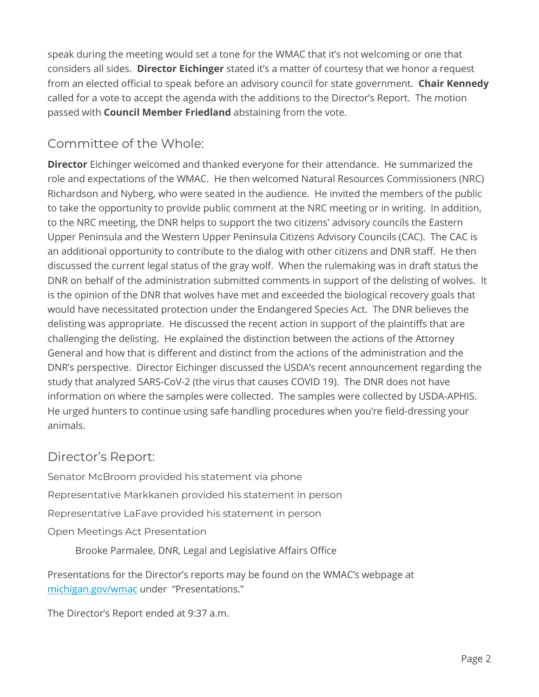speak during the meeting would set a tone for the WMAC that it's not welcoming or one that considers all sides. **Director Eichinger** stated it's a matter of courtesy that we honor a request from an elected official to speak before an advisory council for state government. **Chair Kennedy**  called for a vote to accept the agenda with the additions to the Director's Report. The motion passed with **Council Member Friedland** abstaining from the vote.

## Committee of the Whole:

**Director** Eichinger welcomed and thanked everyone for their attendance. He summarized the role and expectations of the WMAC. He then welcomed Natural Resources Commissioners (NRC) Richardson and Nyberg, who were seated in the audience. He invited the members of the public to take the opportunity to provide public comment at the NRC meeting or in writing. In addition, to the NRC meeting, the DNR helps to support the two citizens' advisory councils the Eastern Upper Peninsula and the Western Upper Peninsula Citizens Advisory Councils (CAC). The CAC is an additional opportunity to contribute to the dialog with other citizens and DNR staff. He then discussed the current legal status of the gray wolf. When the rulemaking was in draft status the DNR on behalf of the administration submitted comments in support of the delisting of wolves. It is the opinion of the DNR that wolves have met and exceeded the biological recovery goals that would have necessitated protection under the Endangered Species Act. The DNR believes the delisting was appropriate. He discussed the recent action in support of the plaintiffs that are challenging the delisting. He explained the distinction between the actions of the Attorney General and how that is different and distinct from the actions of the administration and the DNR's perspective. Director Eichinger discussed the USDA's recent announcement regarding the study that analyzed SARS-CoV-2 (the virus that causes COVID 19). The DNR does not have information on where the samples were collected. The samples were collected by USDA-APHIS. He urged hunters to continue using safe handling procedures when you're field-dressing your animals.

### Director's Report:

Senator McBroom provided his statement via phone Representative Markkanen provided his statement in person Representative LaFave provided his statement in person Open Meetings Act Presentation

Brooke Parmalee, DNR, Legal and Legislative Affairs Office

Presentations for the Director's reports may be found on the WMAC's webpage at [michigan.gov/wmac](https://www.michigan.gov/dnr/0,4570,7-350-79137_79763_106230---,00.html) under "Presentations."

The Director's Report ended at 9:37 a.m.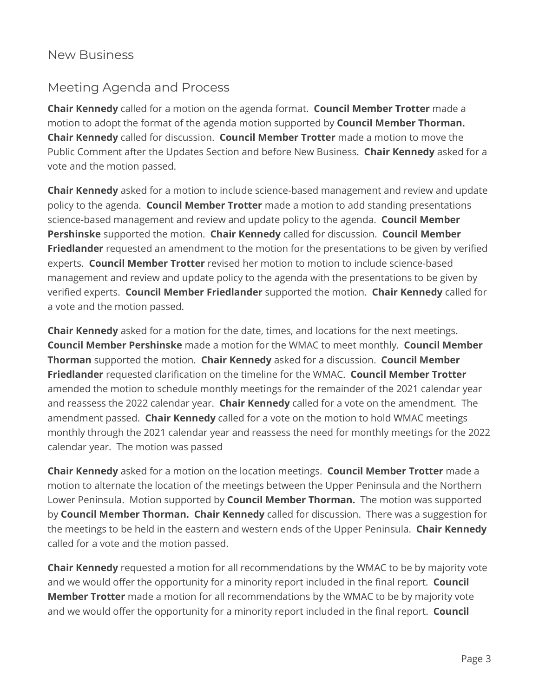#### New Business

#### Meeting Agenda and Process

**Chair Kennedy** called for a motion on the agenda format. **Council Member Trotter** made a motion to adopt the format of the agenda motion supported by **Council Member Thorman. Chair Kennedy** called for discussion. **Council Member Trotter** made a motion to move the Public Comment after the Updates Section and before New Business. **Chair Kennedy** asked for a vote and the motion passed.

**Chair Kennedy** asked for a motion to include science-based management and review and update policy to the agenda. **Council Member Trotter** made a motion to add standing presentations science-based management and review and update policy to the agenda. **Council Member Pershinske** supported the motion. **Chair Kennedy** called for discussion. **Council Member Friedlander** requested an amendment to the motion for the presentations to be given by verified experts. **Council Member Trotter** revised her motion to motion to include science-based management and review and update policy to the agenda with the presentations to be given by verified experts. **Council Member Friedlander** supported the motion. **Chair Kennedy** called for a vote and the motion passed.

**Chair Kennedy** asked for a motion for the date, times, and locations for the next meetings. **Council Member Pershinske** made a motion for the WMAC to meet monthly. **Council Member Thorman** supported the motion. **Chair Kennedy** asked for a discussion. **Council Member Friedlander** requested clarification on the timeline for the WMAC. **Council Member Trotter** amended the motion to schedule monthly meetings for the remainder of the 2021 calendar year and reassess the 2022 calendar year. **Chair Kennedy** called for a vote on the amendment. The amendment passed. **Chair Kennedy** called for a vote on the motion to hold WMAC meetings monthly through the 2021 calendar year and reassess the need for monthly meetings for the 2022 calendar year. The motion was passed

**Chair Kennedy** asked for a motion on the location meetings. **Council Member Trotter** made a motion to alternate the location of the meetings between the Upper Peninsula and the Northern Lower Peninsula. Motion supported by **Council Member Thorman.** The motion was supported by **Council Member Thorman. Chair Kennedy** called for discussion. There was a suggestion for the meetings to be held in the eastern and western ends of the Upper Peninsula. **Chair Kennedy**  called for a vote and the motion passed.

**Chair Kennedy** requested a motion for all recommendations by the WMAC to be by majority vote and we would offer the opportunity for a minority report included in the final report. **Council Member Trotter** made a motion for all recommendations by the WMAC to be by majority vote and we would offer the opportunity for a minority report included in the final report. **Council**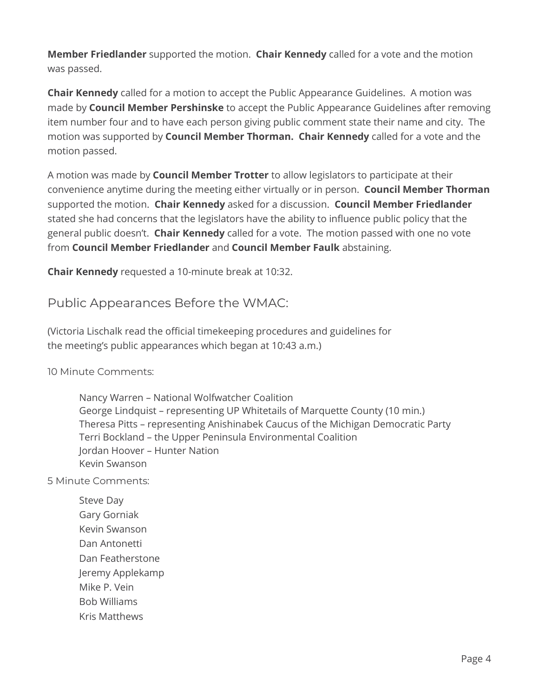**Member Friedlander** supported the motion. **Chair Kennedy** called for a vote and the motion was passed.

**Chair Kennedy** called for a motion to accept the Public Appearance Guidelines. A motion was made by **Council Member Pershinske** to accept the Public Appearance Guidelines after removing item number four and to have each person giving public comment state their name and city. The motion was supported by **Council Member Thorman. Chair Kennedy** called for a vote and the motion passed.

A motion was made by **Council Member Trotter** to allow legislators to participate at their convenience anytime during the meeting either virtually or in person. **Council Member Thorman**  supported the motion. **Chair Kennedy** asked for a discussion. **Council Member Friedlander**  stated she had concerns that the legislators have the ability to influence public policy that the general public doesn't. **Chair Kennedy** called for a vote. The motion passed with one no vote from **Council Member Friedlander** and **Council Member Faulk** abstaining.

**Chair Kennedy** requested a 10-minute break at 10:32.

Public Appearances Before the WMAC:

(Victoria Lischalk read the official timekeeping procedures and guidelines for the meeting's public appearances which began at 10:43 a.m.)

10 Minute Comments:

Nancy Warren – National Wolfwatcher Coalition George Lindquist – representing UP Whitetails of Marquette County (10 min.) Theresa Pitts – representing Anishinabek Caucus of the Michigan Democratic Party Terri Bockland – the Upper Peninsula Environmental Coalition Jordan Hoover – Hunter Nation Kevin Swanson

5 Minute Comments:

Steve Day Gary Gorniak Kevin Swanson Dan Antonetti Dan Featherstone Jeremy Applekamp Mike P. Vein Bob Williams Kris Matthews